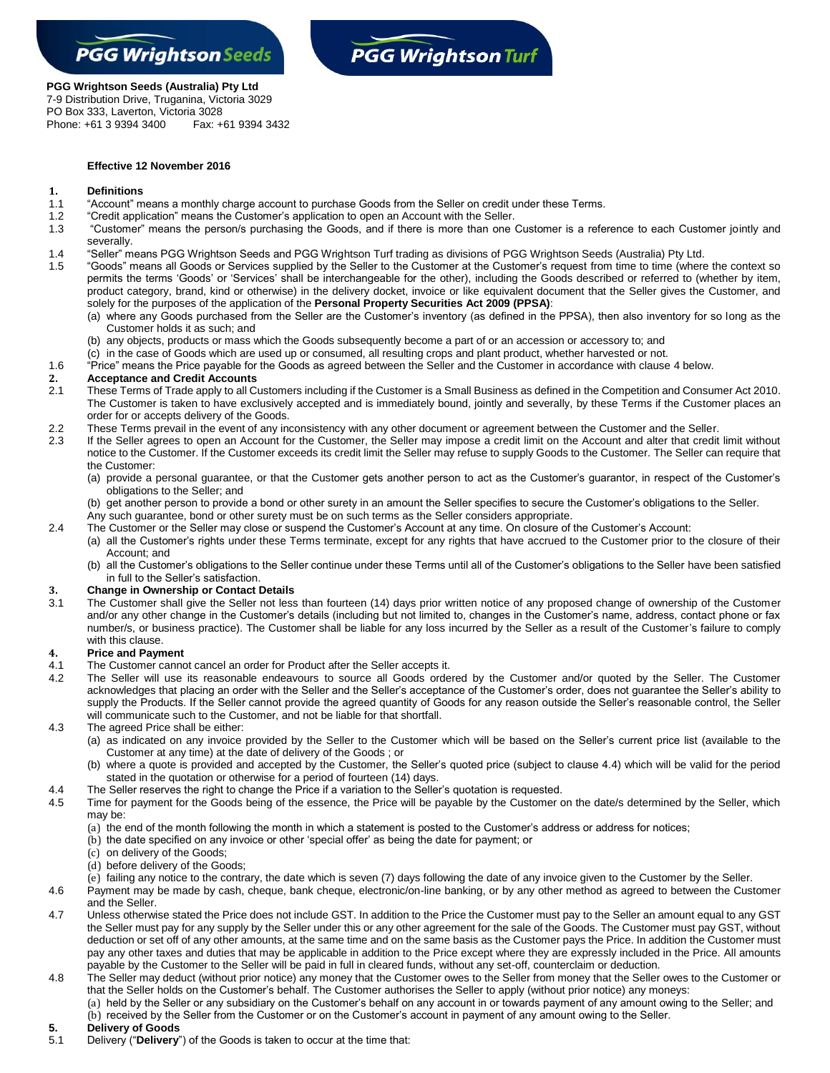



## **PGG Wrightson Seeds (Australia) Pty Ltd**

7-9 Distribution Drive, Truganina, Victoria 3029 PO Box 333, Laverton, Victoria 3028 Phone: +61 3 9394 3400 Fax: +61 9394 3432

#### **Effective 12 November 2016**

# **1. Definitions**

- 1.1 "Account" means a monthly charge account to purchase Goods from the Seller on credit under these Terms.
- 1.2 "Credit application" means the Customer's application to open an Account with the Seller.
- 1.3 "Customer" means the person/s purchasing the Goods, and if there is more than one Customer is a reference to each Customer jointly and severally.
- 1.4 "Seller" means PGG Wrightson Seeds and PGG Wrightson Turf trading as divisions of PGG Wrightson Seeds (Australia) Pty Ltd.
- 1.5 "Goods" means all Goods or Services supplied by the Seller to the Customer at the Customer's request from time to time (where the context so permits the terms 'Goods' or 'Services' shall be interchangeable for the other), including the Goods described or referred to (whether by item, product category, brand, kind or otherwise) in the delivery docket, invoice or like equivalent document that the Seller gives the Customer, and solely for the purposes of the application of the **Personal Property Securities Act 2009 (PPSA)**:
	- (a) where any Goods purchased from the Seller are the Customer's inventory (as defined in the PPSA), then also inventory for so long as the Customer holds it as such; and
	- (b) any objects, products or mass which the Goods subsequently become a part of or an accession or accessory to; and
- (c) in the case of Goods which are used up or consumed, all resulting crops and plant product, whether harvested or not.
- 1.6 "Price" means the Price payable for the Goods as agreed between the Seller and the Customer in accordance with clause [4](#page-0-0) below.

#### **2. Acceptance and Credit Accounts**

- 2.1 These Terms of Trade apply to all Customers including if the Customer is a Small Business as defined in the Competition and Consumer Act 2010. The Customer is taken to have exclusively accepted and is immediately bound, jointly and severally, by these Terms if the Customer places an order for or accepts delivery of the Goods.
- 2.2 These Terms prevail in the event of any inconsistency with any other document or agreement between the Customer and the Seller.
- 2.3 If the Seller agrees to open an Account for the Customer, the Seller may impose a credit limit on the Account and alter that credit limit without notice to the Customer. If the Customer exceeds its credit limit the Seller may refuse to supply Goods to the Customer. The Seller can require that the Customer:
	- (a) provide a personal guarantee, or that the Customer gets another person to act as the Customer's guarantor, in respect of the Customer's obligations to the Seller; and
	- (b) get another person to provide a bond or other surety in an amount the Seller specifies to secure the Customer's obligations to the Seller.
	- Any such guarantee, bond or other surety must be on such terms as the Seller considers appropriate.
- 2.4 The Customer or the Seller may close or suspend the Customer's Account at any time. On closure of the Customer's Account:
	- (a) all the Customer's rights under these Terms terminate, except for any rights that have accrued to the Customer prior to the closure of their Account; and
	- (b) all the Customer's obligations to the Seller continue under these Terms until all of the Customer's obligations to the Seller have been satisfied in full to the Seller's satisfaction.

#### **3. Change in Ownership or Contact Details**

3.1 The Customer shall give the Seller not less than fourteen (14) days prior written notice of any proposed change of ownership of the Customer and/or any other change in the Customer's details (including but not limited to, changes in the Customer's name, address, contact phone or fax number/s, or business practice). The Customer shall be liable for any loss incurred by the Seller as a result of the Customer's failure to comply with this clause.

#### <span id="page-0-0"></span>**4. Price and Payment**

- 4.1 The Customer cannot cancel an order for Product after the Seller accepts it.
- 4.2 The Seller will use its reasonable endeavours to source all Goods ordered by the Customer and/or quoted by the Seller. The Customer acknowledges that placing an order with the Seller and the Seller's acceptance of the Customer's order, does not guarantee the Seller's ability to supply the Products. If the Seller cannot provide the agreed quantity of Goods for any reason outside the Seller's reasonable control, the Seller will communicate such to the Customer, and not be liable for that shortfall.
- 4.3 The agreed Price shall be either:
	- (a) as indicated on any invoice provided by the Seller to the Customer which will be based on the Seller's current price list (available to the Customer at any time) at the date of delivery of the Goods ; or
	- (b) where a quote is provided and accepted by the Customer, the Seller's quoted price (subject to clause 4.4) which will be valid for the period stated in the quotation or otherwise for a period of fourteen (14) days.
- 4.4 The Seller reserves the right to change the Price if a variation to the Seller's quotation is requested.
- 4.5 Time for payment for the Goods being of the essence, the Price will be payable by the Customer on the date/s determined by the Seller, which may be:
	- (a) the end of the month following the month in which a statement is posted to the Customer's address or address for notices;
	- (b) the date specified on any invoice or other 'special offer' as being the date for payment; or
	- (c) on delivery of the Goods;
	- (d) before delivery of the Goods;
	- (e) failing any notice to the contrary, the date which is seven (7) days following the date of any invoice given to the Customer by the Seller.
- 4.6 Payment may be made by cash, cheque, bank cheque, electronic/on-line banking, or by any other method as agreed to between the Customer and the Seller.
- 4.7 Unless otherwise stated the Price does not include GST. In addition to the Price the Customer must pay to the Seller an amount equal to any GST the Seller must pay for any supply by the Seller under this or any other agreement for the sale of the Goods. The Customer must pay GST, without deduction or set off of any other amounts, at the same time and on the same basis as the Customer pays the Price. In addition the Customer must pay any other taxes and duties that may be applicable in addition to the Price except where they are expressly included in the Price. All amounts payable by the Customer to the Seller will be paid in full in cleared funds, without any set-off, counterclaim or deduction.
- 4.8 The Seller may deduct (without prior notice) any money that the Customer owes to the Seller from money that the Seller owes to the Customer or that the Seller holds on the Customer's behalf. The Customer authorises the Seller to apply (without prior notice) any moneys:
	- (a) held by the Seller or any subsidiary on the Customer's behalf on any account in or towards payment of any amount owing to the Seller; and (b) received by the Seller from the Customer or on the Customer's account in payment of any amount owing to the Seller.
- **5. Delivery of Goods**
- 5.1 Delivery ("**Delivery**") of the Goods is taken to occur at the time that: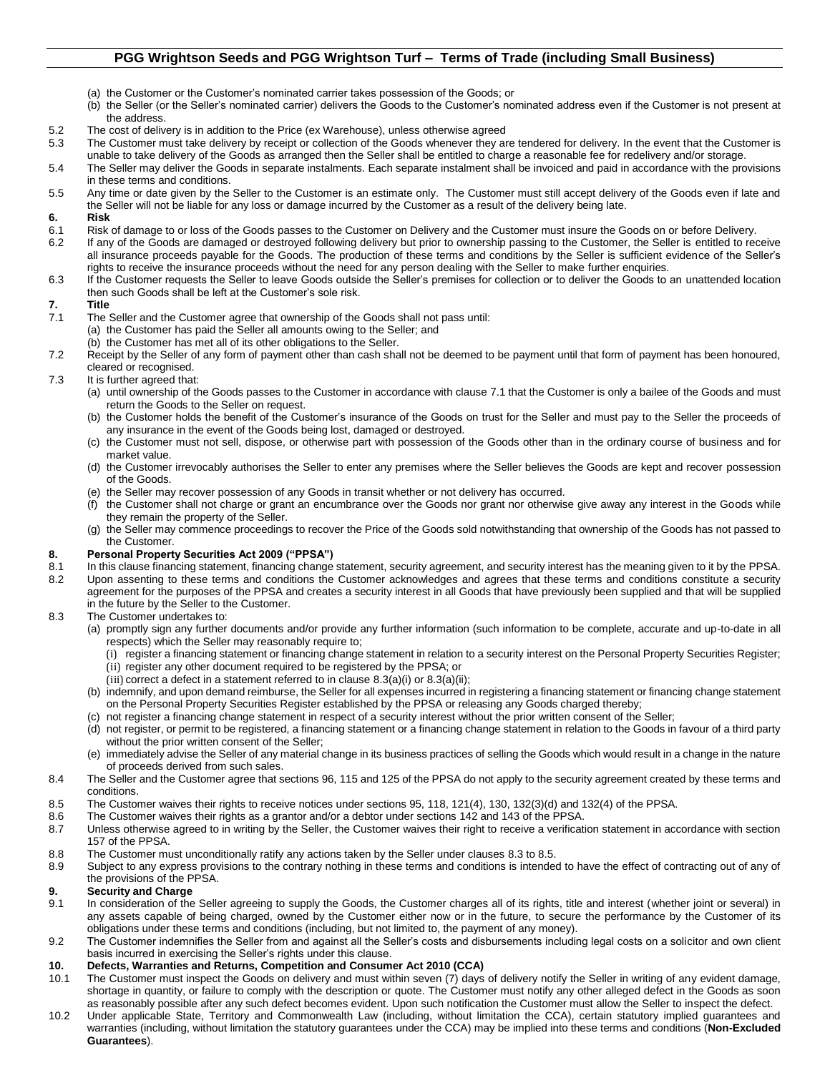## **PGG Wrightson Seeds and PGG Wrightson Turf – Terms of Trade (including Small Business)**

- (a) the Customer or the Customer's nominated carrier takes possession of the Goods; or
- (b) the Seller (or the Seller's nominated carrier) delivers the Goods to the Customer's nominated address even if the Customer is not present at the address.
- 5.2 The cost of delivery is in addition to the Price (ex Warehouse), unless otherwise agreed
- 5.3 The Customer must take delivery by receipt or collection of the Goods whenever they are tendered for delivery. In the event that the Customer is
- unable to take delivery of the Goods as arranged then the Seller shall be entitled to charge a reasonable fee for redelivery and/or storage. 5.4 The Seller may deliver the Goods in separate instalments. Each separate instalment shall be invoiced and paid in accordance with the provisions in these terms and conditions.
- 5.5 Any time or date given by the Seller to the Customer is an estimate only. The Customer must still accept delivery of the Goods even if late and the Seller will not be liable for any loss or damage incurred by the Customer as a result of the delivery being late.

#### **6. Risk**

- 6.1 Risk of damage to or loss of the Goods passes to the Customer on Delivery and the Customer must insure the Goods on or before Delivery.
- 6.2 If any of the Goods are damaged or destroyed following delivery but prior to ownership passing to the Customer, the Seller is entitled to receive all insurance proceeds payable for the Goods. The production of these terms and conditions by the Seller is sufficient evidence of the Seller's rights to receive the insurance proceeds without the need for any person dealing with the Seller to make further enquiries.
- 6.3 If the Customer requests the Seller to leave Goods outside the Seller's premises for collection or to deliver the Goods to an unattended location then such Goods shall be left at the Customer's sole risk.

#### **7. Title**

- <span id="page-1-0"></span>7.1 The Seller and the Customer agree that ownership of the Goods shall not pass until: (a) the Customer has paid the Seller all amounts owing to the Seller; and
	- (b) the Customer has met all of its other obligations to the Seller.
- 7.2 Receipt by the Seller of any form of payment other than cash shall not be deemed to be payment until that form of payment has been honoured, cleared or recognised.
- 7.3 It is further agreed that:
	- (a) until ownership of the Goods passes to the Customer in accordance with claus[e 7.1](#page-1-0) that the Customer is only a bailee of the Goods and must return the Goods to the Seller on request.
	- (b) the Customer holds the benefit of the Customer's insurance of the Goods on trust for the Seller and must pay to the Seller the proceeds of any insurance in the event of the Goods being lost, damaged or destroyed.
	- (c) the Customer must not sell, dispose, or otherwise part with possession of the Goods other than in the ordinary course of business and for market value.
	- (d) the Customer irrevocably authorises the Seller to enter any premises where the Seller believes the Goods are kept and recover possession of the Goods.
	- (e) the Seller may recover possession of any Goods in transit whether or not delivery has occurred.
	- (f) the Customer shall not charge or grant an encumbrance over the Goods nor grant nor otherwise give away any interest in the Goods while they remain the property of the Seller.
	- (g) the Seller may commence proceedings to recover the Price of the Goods sold notwithstanding that ownership of the Goods has not passed to the Customer.

#### **8. Personal Property Securities Act 2009 ("PPSA")**

- 8.1 In this clause financing statement, financing change statement, security agreement, and security interest has the meaning given to it by the PPSA. 8.2 Upon assenting to these terms and conditions the Customer acknowledges and agrees that these terms and conditions constitute a security agreement for the purposes of the PPSA and creates a security interest in all Goods that have previously been supplied and that will be supplied
- in the future by the Seller to the Customer.
- <span id="page-1-3"></span><span id="page-1-2"></span><span id="page-1-1"></span>8.3 The Customer undertakes to:
	- (a) promptly sign any further documents and/or provide any further information (such information to be complete, accurate and up-to-date in all respects) which the Seller may reasonably require to;
		- (i) register a financing statement or financing change statement in relation to a security interest on the Personal Property Securities Register; (ii) register any other document required to be registered by the PPSA; or
		- (iii) correct a defect in a statement referred to in clause  $8.3(a)(i)$  $8.3(a)(i)$  or  $8.3(a)(ii)$ ;
	- (b) indemnify, and upon demand reimburse, the Seller for all expenses incurred in registering a financing statement or financing change statement on the Personal Property Securities Register established by the PPSA or releasing any Goods charged thereby;
	- (c) not register a financing change statement in respect of a security interest without the prior written consent of the Seller;
	- (d) not register, or permit to be registered, a financing statement or a financing change statement in relation to the Goods in favour of a third party without the prior written consent of the Seller;
	- (e) immediately advise the Seller of any material change in its business practices of selling the Goods which would result in a change in the nature of proceeds derived from such sales.
- 8.4 The Seller and the Customer agree that sections 96, 115 and 125 of the PPSA do not apply to the security agreement created by these terms and conditions.
- <span id="page-1-4"></span>8.5 The Customer waives their rights to receive notices under sections 95, 118, 121(4), 130, 132(3)(d) and 132(4) of the PPSA.
- 8.6 The Customer waives their rights as a grantor and/or a debtor under sections 142 and 143 of the PPSA.
- 8.7 Unless otherwise agreed to in writing by the Seller, the Customer waives their right to receive a verification statement in accordance with section 157 of the PPSA.
- 8.8 The Customer must unconditionally ratify any actions taken by the Seller under clause[s 8.3](#page-1-1) t[o 8.5.](#page-1-4)<br>8.9 Subject to any express provisions to the contrary nothing in these terms and conditions is intended
- Subject to any express provisions to the contrary nothing in these terms and conditions is intended to have the effect of contracting out of any of the provisions of the PPSA.

#### **9. Security and Charge**

- 9.1 In consideration of the Seller agreeing to supply the Goods, the Customer charges all of its rights, title and interest (whether joint or several) in any assets capable of being charged, owned by the Customer either now or in the future, to secure the performance by the Customer of its obligations under these terms and conditions (including, but not limited to, the payment of any money).
- 9.2 The Customer indemnifies the Seller from and against all the Seller's costs and disbursements including legal costs on a solicitor and own client basis incurred in exercising the Seller's rights under this clause.

#### <span id="page-1-5"></span>**10. Defects, Warranties and Returns, Competition and Consumer Act 2010 (CCA)**

- <span id="page-1-6"></span>10.1 The Customer must inspect the Goods on delivery and must within seven (7) days of delivery notify the Seller in writing of any evident damage, shortage in quantity, or failure to comply with the description or quote. The Customer must notify any other alleged defect in the Goods as soon as reasonably possible after any such defect becomes evident. Upon such notification the Customer must allow the Seller to inspect the defect.
- 10.2 Under applicable State, Territory and Commonwealth Law (including, without limitation the CCA), certain statutory implied guarantees and warranties (including, without limitation the statutory guarantees under the CCA) may be implied into these terms and conditions (**Non-Excluded Guarantees**).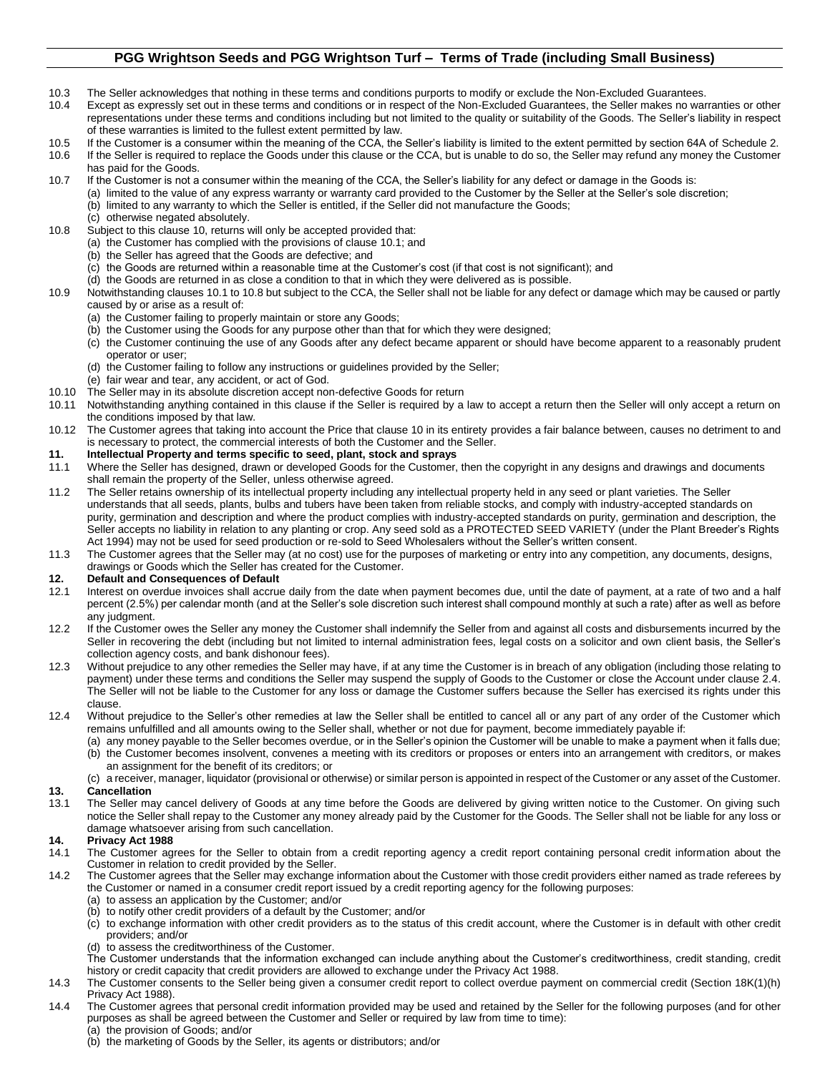## **PGG Wrightson Seeds and PGG Wrightson Turf – Terms of Trade (including Small Business)**

- 10.3 The Seller acknowledges that nothing in these terms and conditions purports to modify or exclude the Non-Excluded Guarantees.
- 10.4 Except as expressly set out in these terms and conditions or in respect of the Non-Excluded Guarantees, the Seller makes no warranties or other representations under these terms and conditions including but not limited to the quality or suitability of the Goods. The Seller's liability in respect of these warranties is limited to the fullest extent permitted by law.
- 10.5 If the Customer is a consumer within the meaning of the CCA, the Seller's liability is limited to the extent permitted by section 64A of Schedule 2.

10.6 If the Seller is required to replace the Goods under this clause or the CCA, but is unable to do so, the Seller may refund any money the Customer has paid for the Goods.

- 10.7 If the Customer is not a consumer within the meaning of the CCA, the Seller's liability for any defect or damage in the Goods is:
	- (a) limited to the value of any express warranty or warranty card provided to the Customer by the Seller at the Seller's sole discretion; (b) limited to any warranty to which the Seller is entitled, if the Seller did not manufacture the Goods;
	- (c) otherwise negated absolutely.
- <span id="page-2-0"></span>10.8 Subject to this claus[e 10,](#page-1-5) returns will only be accepted provided that:
	- (a) the Customer has complied with the provisions of claus[e 10.1;](#page-1-6) and
	- (b) the Seller has agreed that the Goods are defective; and
	- (c) the Goods are returned within a reasonable time at the Customer's cost (if that cost is not significant); and
	- (d) the Goods are returned in as close a condition to that in which they were delivered as is possible.
- 10.9 Notwithstanding clause[s 10.1](#page-1-6) t[o 10.8](#page-2-0) but subject to the CCA, the Seller shall not be liable for any defect or damage which may be caused or partly caused by or arise as a result of:
	- (a) the Customer failing to properly maintain or store any Goods;
	- (b) the Customer using the Goods for any purpose other than that for which they were designed;
	- (c) the Customer continuing the use of any Goods after any defect became apparent or should have become apparent to a reasonably prudent operator or user;
	- (d) the Customer failing to follow any instructions or guidelines provided by the Seller;
	- (e) fair wear and tear, any accident, or act of God.
- 10.10 The Seller may in its absolute discretion accept non-defective Goods for return
- 10.11 Notwithstanding anything contained in this clause if the Seller is required by a law to accept a return then the Seller will only accept a return on the conditions imposed by that law.
- 10.12 The Customer agrees that taking into account the Price that clause 10 in its entirety provides a fair balance between, causes no detriment to and is necessary to protect, the commercial interests of both the Customer and the Seller.

#### **11. Intellectual Property and terms specific to seed, plant, stock and sprays**

- 11.1 Where the Seller has designed, drawn or developed Goods for the Customer, then the copyright in any designs and drawings and documents shall remain the property of the Seller, unless otherwise agreed.
- 11.2 The Seller retains ownership of its intellectual property including any intellectual property held in any seed or plant varieties. The Seller understands that all seeds, plants, bulbs and tubers have been taken from reliable stocks, and comply with industry-accepted standards on purity, germination and description and where the product complies with industry-accepted standards on purity, germination and description, the Seller accepts no liability in relation to any planting or crop. Any seed sold as a PROTECTED SEED VARIETY (under the Plant Breeder's Rights Act 1994) may not be used for seed production or re-sold to Seed Wholesalers without the Seller's written consent.
- 11.3 The Customer agrees that the Seller may (at no cost) use for the purposes of marketing or entry into any competition, any documents, designs, drawings or Goods which the Seller has created for the Customer.

#### **12. Default and Consequences of Default**

- 12.1 Interest on overdue invoices shall accrue daily from the date when payment becomes due, until the date of payment, at a rate of two and a half percent (2.5%) per calendar month (and at the Seller's sole discretion such interest shall compound monthly at such a rate) after as well as before any judgment.
- 12.2 If the Customer owes the Seller any money the Customer shall indemnify the Seller from and against all costs and disbursements incurred by the Seller in recovering the debt (including but not limited to internal administration fees, legal costs on a solicitor and own client basis, the Seller's collection agency costs, and bank dishonour fees).
- 12.3 Without prejudice to any other remedies the Seller may have, if at any time the Customer is in breach of any obligation (including those relating to payment) under these terms and conditions the Seller may suspend the supply of Goods to the Customer or close the Account under clause 2.4. The Seller will not be liable to the Customer for any loss or damage the Customer suffers because the Seller has exercised its rights under this clause.
- 12.4 Without prejudice to the Seller's other remedies at law the Seller shall be entitled to cancel all or any part of any order of the Customer which remains unfulfilled and all amounts owing to the Seller shall, whether or not due for payment, become immediately payable if:
	- (a) any money payable to the Seller becomes overdue, or in the Seller's opinion the Customer will be unable to make a payment when it falls due;
	- (b) the Customer becomes insolvent, convenes a meeting with its creditors or proposes or enters into an arrangement with creditors, or makes an assignment for the benefit of its creditors; or
	- (c) a receiver, manager, liquidator (provisional or otherwise) or similar person is appointed in respect of the Customer or any asset of the Customer.
- **13. Cancellation**
- 13.1 The Seller may cancel delivery of Goods at any time before the Goods are delivered by giving written notice to the Customer. On giving such notice the Seller shall repay to the Customer any money already paid by the Customer for the Goods. The Seller shall not be liable for any loss or damage whatsoever arising from such cancellation.

#### **14. Privacy Act 1988**

- 14.1 The Customer agrees for the Seller to obtain from a credit reporting agency a credit report containing personal credit information about the Customer in relation to credit provided by the Seller.
- 14.2 The Customer agrees that the Seller may exchange information about the Customer with those credit providers either named as trade referees by the Customer or named in a consumer credit report issued by a credit reporting agency for the following purposes:
	- (a) to assess an application by the Customer; and/or
	- (b) to notify other credit providers of a default by the Customer; and/or
	- (c) to exchange information with other credit providers as to the status of this credit account, where the Customer is in default with other credit providers; and/or
	- (d) to assess the creditworthiness of the Customer.
	- The Customer understands that the information exchanged can include anything about the Customer's creditworthiness, credit standing, credit history or credit capacity that credit providers are allowed to exchange under the Privacy Act 1988.
- 14.3 The Customer consents to the Seller being given a consumer credit report to collect overdue payment on commercial credit (Section 18K(1)(h) Privacy Act 1988).
- 14.4 The Customer agrees that personal credit information provided may be used and retained by the Seller for the following purposes (and for other purposes as shall be agreed between the Customer and Seller or required by law from time to time):
	- (a) the provision of Goods; and/or
	- (b) the marketing of Goods by the Seller, its agents or distributors; and/or